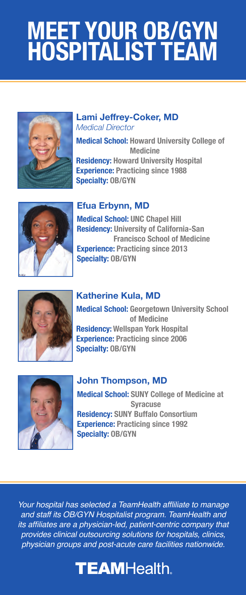# **HOSPITALIST TEAM MEET YOUR OB/GYN**



#### **Lami Jeffrey-Coker, MD** *Medical Director*

**Medical School: Howard University College of Medicine Residency: Howard University Hospital Experience: Practicing since 1988 Specialty: OB/GYN**



## **Efua Erbynn, MD**

**Medical School: UNC Chapel Hill Residency: University of California-San Francisco School of Medicine Experience: Practicing since 2013 Specialty: OB/GYN**



#### **Katherine Kula, MD**

**Medical School: Georgetown University School of Medicine Residency: Wellspan York Hospital Experience: Practicing since 2006 Specialty: OB/GYN**



## **John Thompson, MD**

**Medical School: SUNY College of Medicine at Syracuse Residency: SUNY Buffalo Consortium Experience: Practicing since 1992 Specialty: OB/GYN**

Your hospital has selected a TeamHealth affliliate to manage and staff its OB/GYN Hospitalist program. TeamHealth and its affiliates are a physician-led, patient-centric company that provides clinical outsourcing solutions for hospitals, clinics, physician groups and post-acute care facilities nationwide.

# **TEAMHealth.**